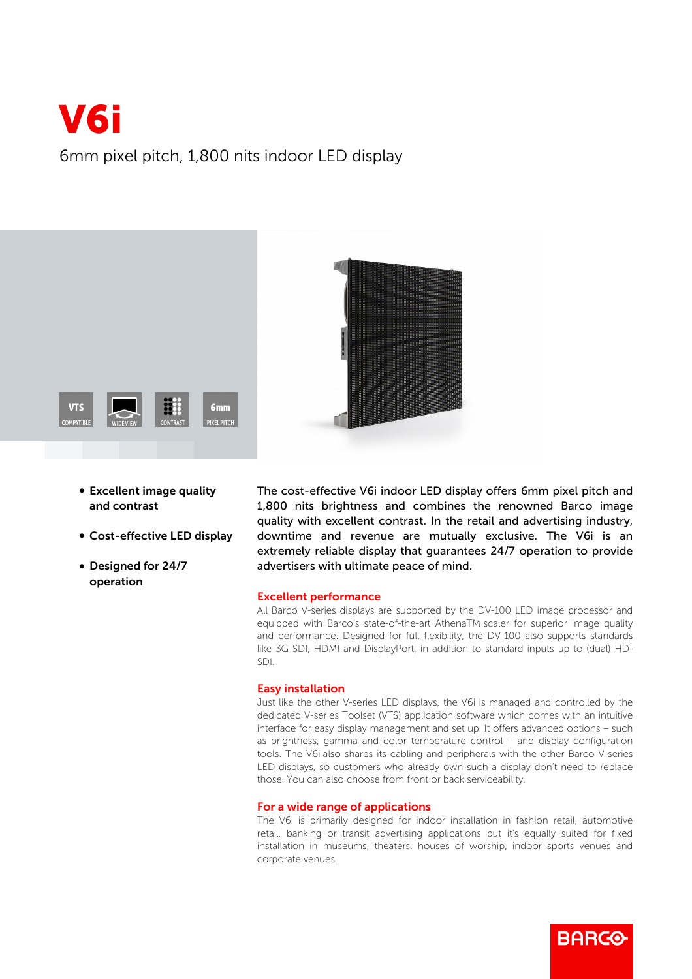# V6i 6mm pixel pitch, 1,800 nits indoor LED display



- Excellent image quality and contrast
- Cost-effective LED display
- Designed for 24/7 operation

The cost-effective V6i indoor LED display offers 6mm pixel pitch and 1,800 nits brightness and combines the renowned Barco image quality with excellent contrast. In the retail and advertising industry, downtime and revenue are mutually exclusive. The V6i is an extremely reliable display that guarantees 24/7 operation to provide advertisers with ultimate peace of mind.

### Excellent performance

All Barco V-series displays are supported by the DV-100 LED image processor and equipped with Barco's state-of-the-art AthenaTM scaler for superior image quality and performance. Designed for full flexibility, the DV-100 also supports standards like 3G SDI, HDMI and DisplayPort, in addition to standard inputs up to (dual) HD-SDI.

### Easy installation

Just like the other V-series LED displays, the V6i is managed and controlled by the dedicated V-series Toolset (VTS) application software which comes with an intuitive interface for easy display management and set up. It offers advanced options – such as brightness, gamma and color temperature control – and display configuration tools. The V6i also shares its cabling and peripherals with the other Barco V-series LED displays, so customers who already own such a display don't need to replace those. You can also choose from front or back serviceability.

## For a wide range of applications

The V6i is primarily designed for indoor installation in fashion retail, automotive retail, banking or transit advertising applications but it's equally suited for fixed installation in museums, theaters, houses of worship, indoor sports venues and corporate venues.

**BARCO**